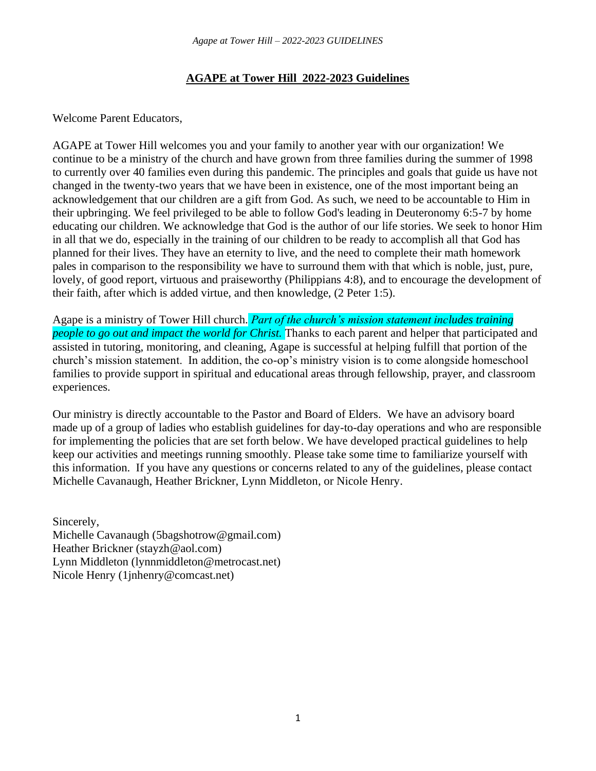## **AGAPE at Tower Hill 2022-2023 Guidelines**

Welcome Parent Educators,

AGAPE at Tower Hill welcomes you and your family to another year with our organization! We continue to be a ministry of the church and have grown from three families during the summer of 1998 to currently over 40 families even during this pandemic. The principles and goals that guide us have not changed in the twenty-two years that we have been in existence, one of the most important being an acknowledgement that our children are a gift from God. As such, we need to be accountable to Him in their upbringing. We feel privileged to be able to follow God's leading in Deuteronomy 6:5-7 by home educating our children. We acknowledge that God is the author of our life stories. We seek to honor Him in all that we do, especially in the training of our children to be ready to accomplish all that God has planned for their lives. They have an eternity to live, and the need to complete their math homework pales in comparison to the responsibility we have to surround them with that which is noble, just, pure, lovely, of good report, virtuous and praiseworthy (Philippians 4:8), and to encourage the development of their faith, after which is added virtue, and then knowledge, (2 Peter 1:5).

Agape is a ministry of Tower Hill church. *Part of the church's mission statement includes training people to go out and impact the world for Christ.* Thanks to each parent and helper that participated and assisted in tutoring, monitoring, and cleaning, Agape is successful at helping fulfill that portion of the church's mission statement. In addition, the co-op's ministry vision is to come alongside homeschool families to provide support in spiritual and educational areas through fellowship, prayer, and classroom experiences.

Our ministry is directly accountable to the Pastor and Board of Elders. We have an advisory board made up of a group of ladies who establish guidelines for day-to-day operations and who are responsible for implementing the policies that are set forth below. We have developed practical guidelines to help keep our activities and meetings running smoothly. Please take some time to familiarize yourself with this information. If you have any questions or concerns related to any of the guidelines, please contact Michelle Cavanaugh, Heather Brickner, Lynn Middleton, or Nicole Henry.

Sincerely, Michelle Cavanaugh (5bagshotrow@gmail.com) Heather Brickner (stayzh@aol.com) Lynn Middleton (lynnmiddleton@metrocast.net) Nicole Henry (1jnhenry@comcast.net)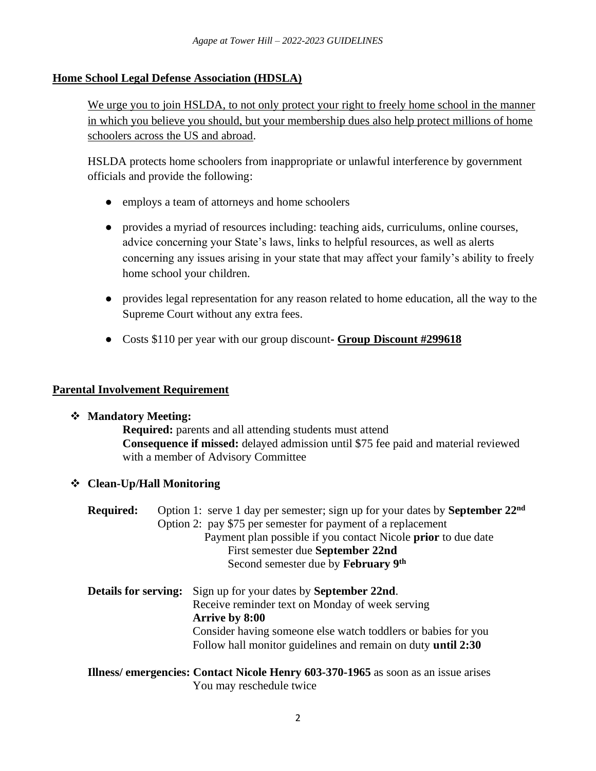## **Home School Legal Defense Association (HDSLA)**

We urge you to join HSLDA, to not only protect your right to freely home school in the manner in which you believe you should, but your membership dues also help protect millions of home schoolers across the US and abroad.

HSLDA protects home schoolers from inappropriate or unlawful interference by government officials and provide the following:

- employs a team of attorneys and home schoolers
- provides a myriad of resources including: teaching aids, curriculums, online courses, advice concerning your State's laws, links to helpful resources, as well as alerts concerning any issues arising in your state that may affect your family's ability to freely home school your children.
- provides legal representation for any reason related to home education, all the way to the Supreme Court without any extra fees.
- Costs \$110 per year with our group discount**- Group Discount #299618**

### **Parental Involvement Requirement**

#### ❖ **Mandatory Meeting:**

**Required:** parents and all attending students must attend **Consequence if missed:** delayed admission until \$75 fee paid and material reviewed with a member of Advisory Committee

## ❖ **Clean-Up/Hall Monitoring**

| <b>Required:</b>            | Option 1: serve 1 day per semester; sign up for your dates by September 22 <sup>nd</sup> |
|-----------------------------|------------------------------------------------------------------------------------------|
|                             | Option 2: pay \$75 per semester for payment of a replacement                             |
|                             | Payment plan possible if you contact Nicole <b>prior</b> to due date                     |
|                             | First semester due September 22nd                                                        |
|                             | Second semester due by February 9th                                                      |
| <b>Details for serving:</b> | Sign up for your dates by <b>September 22nd</b> .                                        |
|                             | Receive reminder text on Monday of week serving                                          |
|                             | <b>Arrive by 8:00</b>                                                                    |
|                             | Consider having someone else watch toddlers or babies for you                            |
|                             | Follow hall monitor guidelines and remain on duty <b>until 2:30</b>                      |
|                             | Illness/ emergencies: Contact Nicole Henry 603-370-1965 as soon as an issue arises       |

You may reschedule twice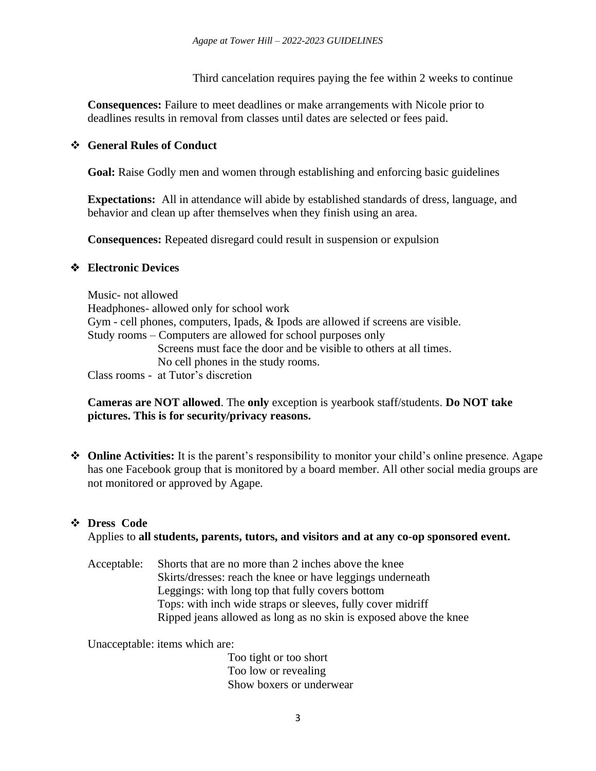Third cancelation requires paying the fee within 2 weeks to continue

**Consequences:** Failure to meet deadlines or make arrangements with Nicole prior to deadlines results in removal from classes until dates are selected or fees paid.

### ❖ **General Rules of Conduct**

**Goal:** Raise Godly men and women through establishing and enforcing basic guidelines

**Expectations:** All in attendance will abide by established standards of dress, language, and behavior and clean up after themselves when they finish using an area.

**Consequences:** Repeated disregard could result in suspension or expulsion

### ❖ **Electronic Devices**

Music- not allowed Headphones- allowed only for school work Gym - cell phones, computers, Ipads, & Ipods are allowed if screens are visible. Study rooms – Computers are allowed for school purposes only Screens must face the door and be visible to others at all times. No cell phones in the study rooms. Class rooms - at Tutor's discretion

**Cameras are NOT allowed**. The **only** exception is yearbook staff/students. **Do NOT take pictures. This is for security/privacy reasons.**

❖ **Online Activities:** It is the parent's responsibility to monitor your child's online presence. Agape has one Facebook group that is monitored by a board member. All other social media groups are not monitored or approved by Agape.

#### ❖ **Dress Code**

Applies to **all students, parents, tutors, and visitors and at any co-op sponsored event.** 

Acceptable: Shorts that are no more than 2 inches above the knee Skirts/dresses: reach the knee or have leggings underneath Leggings: with long top that fully covers bottom Tops: with inch wide straps or sleeves, fully cover midriff Ripped jeans allowed as long as no skin is exposed above the knee

Unacceptable: items which are:

Too tight or too short Too low or revealing Show boxers or underwear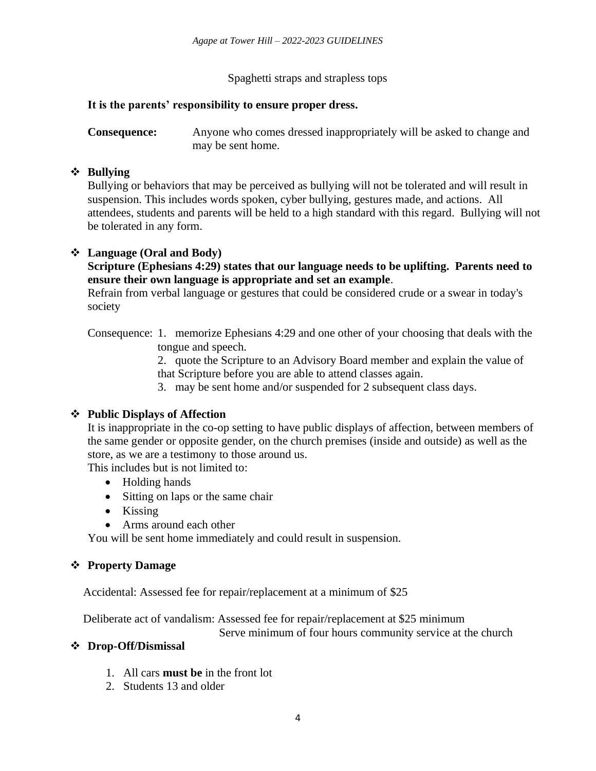Spaghetti straps and strapless tops

### **It is the parents' responsibility to ensure proper dress.**

**Consequence:** Anyone who comes dressed inappropriately will be asked to change and may be sent home.

### ❖ **Bullying**

Bullying or behaviors that may be perceived as bullying will not be tolerated and will result in suspension. This includes words spoken, cyber bullying, gestures made, and actions. All attendees, students and parents will be held to a high standard with this regard. Bullying will not be tolerated in any form.

### ❖ **Language (Oral and Body)**

**Scripture (Ephesians 4:29) states that our language needs to be uplifting. Parents need to ensure their own language is appropriate and set an example**.

Refrain from verbal language or gestures that could be considered crude or a swear in today's society

Consequence: 1. memorize Ephesians 4:29 and one other of your choosing that deals with the tongue and speech.

> 2. quote the Scripture to an Advisory Board member and explain the value of that Scripture before you are able to attend classes again.

3. may be sent home and/or suspended for 2 subsequent class days.

## ❖ **Public Displays of Affection**

It is inappropriate in the co-op setting to have public displays of affection, between members of the same gender or opposite gender, on the church premises (inside and outside) as well as the store, as we are a testimony to those around us.

This includes but is not limited to:

- Holding hands
- Sitting on laps or the same chair
- Kissing
- Arms around each other

You will be sent home immediately and could result in suspension.

## ❖ **Property Damage**

Accidental: Assessed fee for repair/replacement at a minimum of \$25

Deliberate act of vandalism: Assessed fee for repair/replacement at \$25 minimum

Serve minimum of four hours community service at the church

#### ❖ **Drop-Off/Dismissal**

- 1. All cars **must be** in the front lot
- 2. Students 13 and older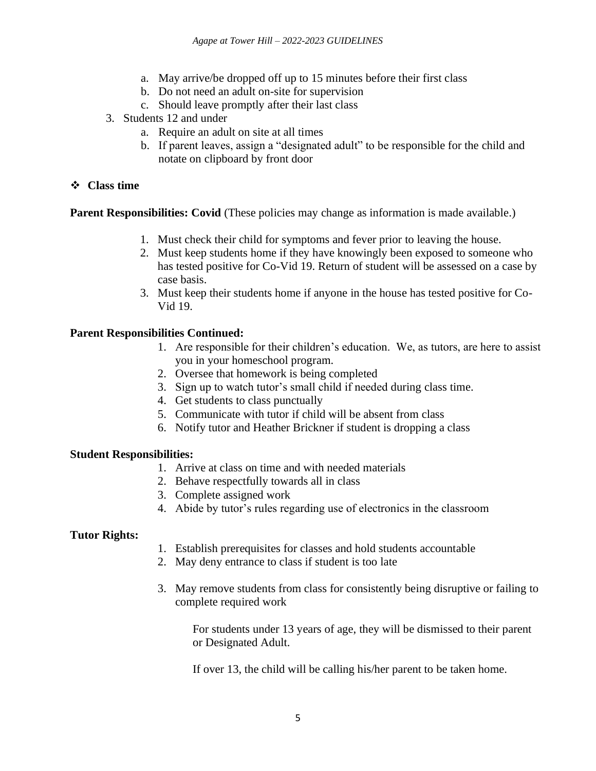- a. May arrive/be dropped off up to 15 minutes before their first class
- b. Do not need an adult on-site for supervision
- c. Should leave promptly after their last class
- 3. Students 12 and under
	- a. Require an adult on site at all times
	- b. If parent leaves, assign a "designated adult" to be responsible for the child and notate on clipboard by front door

## ❖ **Class time**

**Parent Responsibilities: Covid** (These policies may change as information is made available.)

- 1. Must check their child for symptoms and fever prior to leaving the house.
- 2. Must keep students home if they have knowingly been exposed to someone who has tested positive for Co-Vid 19. Return of student will be assessed on a case by case basis.
- 3. Must keep their students home if anyone in the house has tested positive for Co-Vid 19.

# **Parent Responsibilities Continued:**

- 1. Are responsible for their children's education. We, as tutors, are here to assist you in your homeschool program.
- 2. Oversee that homework is being completed
- 3. Sign up to watch tutor's small child if needed during class time.
- 4. Get students to class punctually
- 5. Communicate with tutor if child will be absent from class
- 6. Notify tutor and Heather Brickner if student is dropping a class

## **Student Responsibilities:**

- 1. Arrive at class on time and with needed materials
- 2. Behave respectfully towards all in class
- 3. Complete assigned work
- 4. Abide by tutor's rules regarding use of electronics in the classroom

## **Tutor Rights:**

- 1. Establish prerequisites for classes and hold students accountable
- 2. May deny entrance to class if student is too late
- 3. May remove students from class for consistently being disruptive or failing to complete required work

For students under 13 years of age, they will be dismissed to their parent or Designated Adult.

If over 13, the child will be calling his/her parent to be taken home.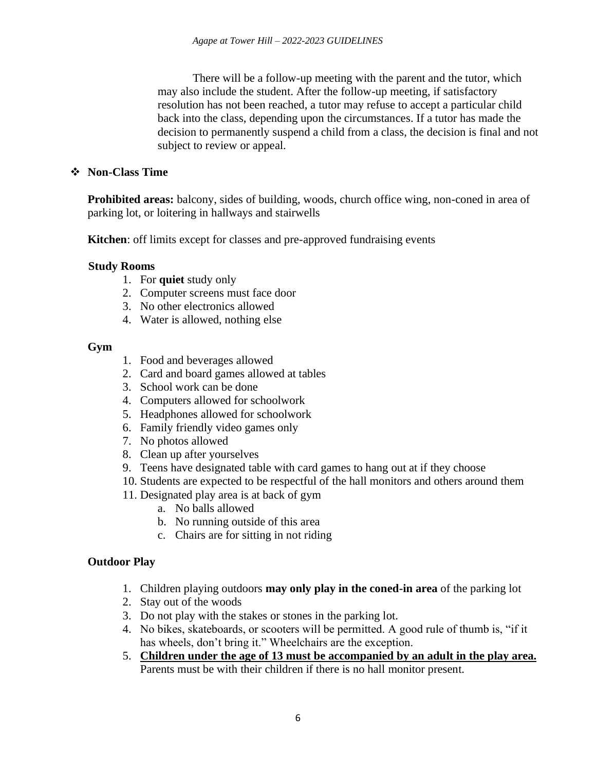There will be a follow-up meeting with the parent and the tutor, which may also include the student. After the follow-up meeting, if satisfactory resolution has not been reached, a tutor may refuse to accept a particular child back into the class, depending upon the circumstances. If a tutor has made the decision to permanently suspend a child from a class, the decision is final and not subject to review or appeal.

### ❖ **Non-Class Time**

**Prohibited areas:** balcony, sides of building, woods, church office wing, non-coned in area of parking lot, or loitering in hallways and stairwells

**Kitchen**: off limits except for classes and pre-approved fundraising events

#### **Study Rooms**

- 1. For **quiet** study only
- 2. Computer screens must face door
- 3. No other electronics allowed
- 4. Water is allowed, nothing else

#### **Gym**

- 1. Food and beverages allowed
- 2. Card and board games allowed at tables
- 3. School work can be done
- 4. Computers allowed for schoolwork
- 5. Headphones allowed for schoolwork
- 6. Family friendly video games only
- 7. No photos allowed
- 8. Clean up after yourselves
- 9. Teens have designated table with card games to hang out at if they choose
- 10. Students are expected to be respectful of the hall monitors and others around them
- 11. Designated play area is at back of gym
	- a. No balls allowed
	- b. No running outside of this area
	- c. Chairs are for sitting in not riding

## **Outdoor Play**

- 1. Children playing outdoors **may only play in the coned-in area** of the parking lot
- 2. Stay out of the woods
- 3. Do not play with the stakes or stones in the parking lot.
- 4. No bikes, skateboards, or scooters will be permitted. A good rule of thumb is, "if it has wheels, don't bring it." Wheelchairs are the exception.
- 5. **Children under the age of 13 must be accompanied by an adult in the play area.** Parents must be with their children if there is no hall monitor present.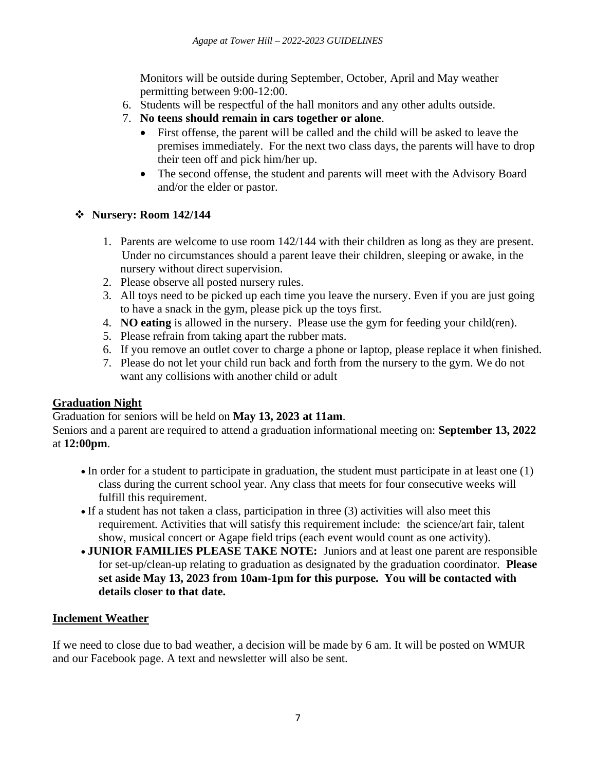Monitors will be outside during September, October, April and May weather permitting between 9:00-12:00.

- 6. Students will be respectful of the hall monitors and any other adults outside.
- 7. **No teens should remain in cars together or alone**.
	- First offense, the parent will be called and the child will be asked to leave the premises immediately. For the next two class days, the parents will have to drop their teen off and pick him/her up.
	- The second offense, the student and parents will meet with the Advisory Board and/or the elder or pastor.

# ❖ **Nursery: Room 142/144**

- 1. Parents are welcome to use room 142/144 with their children as long as they are present. Under no circumstances should a parent leave their children, sleeping or awake, in the nursery without direct supervision.
- 2. Please observe all posted nursery rules.
- 3. All toys need to be picked up each time you leave the nursery. Even if you are just going to have a snack in the gym, please pick up the toys first.
- 4. **NO eating** is allowed in the nursery. Please use the gym for feeding your child(ren).
- 5. Please refrain from taking apart the rubber mats.
- 6. If you remove an outlet cover to charge a phone or laptop, please replace it when finished.
- 7. Please do not let your child run back and forth from the nursery to the gym. We do not want any collisions with another child or adult

# **Graduation Night**

Graduation for seniors will be held on **May 13, 2023 at 11am**.

Seniors and a parent are required to attend a graduation informational meeting on: **September 13, 2022** at **12:00pm**.

- In order for a student to participate in graduation, the student must participate in at least one (1) class during the current school year. Any class that meets for four consecutive weeks will fulfill this requirement.
- If a student has not taken a class, participation in three (3) activities will also meet this requirement. Activities that will satisfy this requirement include: the science/art fair, talent show, musical concert or Agape field trips (each event would count as one activity).
- **JUNIOR FAMILIES PLEASE TAKE NOTE:** Juniors and at least one parent are responsible for set-up/clean-up relating to graduation as designated by the graduation coordinator. **Please set aside May 13, 2023 from 10am-1pm for this purpose. You will be contacted with details closer to that date.**

# **Inclement Weather**

If we need to close due to bad weather, a decision will be made by 6 am. It will be posted on WMUR and our Facebook page. A text and newsletter will also be sent.